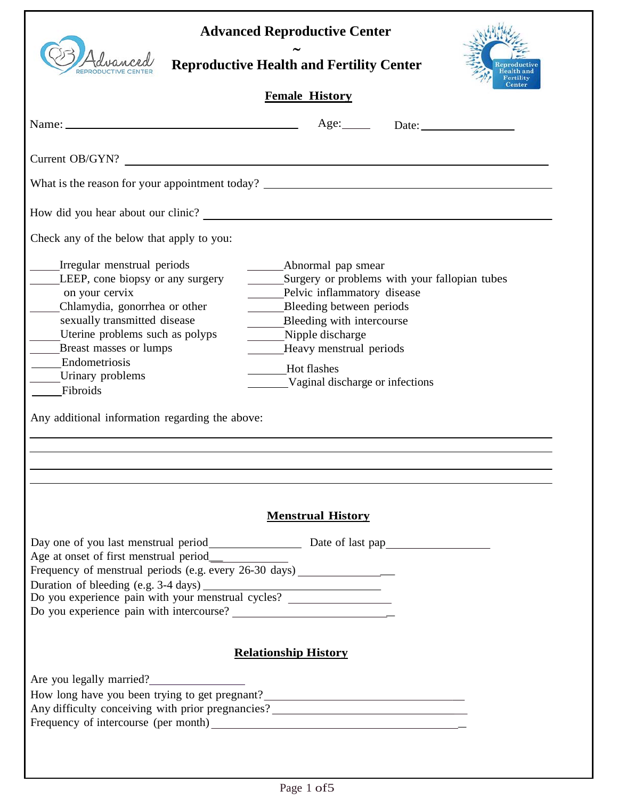| Idvance                                                                                                                                                                                                                                                                                                             | <b>Advanced Reproductive Center</b><br><b>Reproductive Health and Fertility Center</b>                                                                                                                                                                                                     |
|---------------------------------------------------------------------------------------------------------------------------------------------------------------------------------------------------------------------------------------------------------------------------------------------------------------------|--------------------------------------------------------------------------------------------------------------------------------------------------------------------------------------------------------------------------------------------------------------------------------------------|
|                                                                                                                                                                                                                                                                                                                     | <b>Female History</b>                                                                                                                                                                                                                                                                      |
|                                                                                                                                                                                                                                                                                                                     | Age: Date: Date:                                                                                                                                                                                                                                                                           |
| Current OB/GYN?                                                                                                                                                                                                                                                                                                     |                                                                                                                                                                                                                                                                                            |
|                                                                                                                                                                                                                                                                                                                     | What is the reason for your appointment today?                                                                                                                                                                                                                                             |
|                                                                                                                                                                                                                                                                                                                     | How did you hear about our clinic?                                                                                                                                                                                                                                                         |
| Check any of the below that apply to you:                                                                                                                                                                                                                                                                           |                                                                                                                                                                                                                                                                                            |
| Irregular menstrual periods<br>LEEP, cone biopsy or any surgery<br>on your cervix<br>Chlamydia, gonorrhea or other<br>sexually transmitted disease<br>Uterine problems such as polyps<br>Breast masses or lumps<br>Endometriosis<br>Urinary problems<br>Fibroids<br>Any additional information regarding the above: | Abnormal pap smear<br>Surgery or problems with your fallopian tubes<br>Pelvic inflammatory disease<br>Bleeding between periods<br>Bleeding with intercourse<br>$\mathcal{L}(\mathcal{L})$<br>Nipple discharge<br>Heavy menstrual periods<br>Hot flashes<br>Vaginal discharge or infections |
| Age at onset of first menstrual period________<br>Frequency of menstrual periods (e.g. every 26-30 days) __________________________                                                                                                                                                                                 | <b>Menstrual History</b>                                                                                                                                                                                                                                                                   |
|                                                                                                                                                                                                                                                                                                                     | <b>Relationship History</b>                                                                                                                                                                                                                                                                |
| Are you legally married?                                                                                                                                                                                                                                                                                            | How long have you been trying to get pregnant?__________________________________<br>Any difficulty conceiving with prior pregnancies?________________________________                                                                                                                      |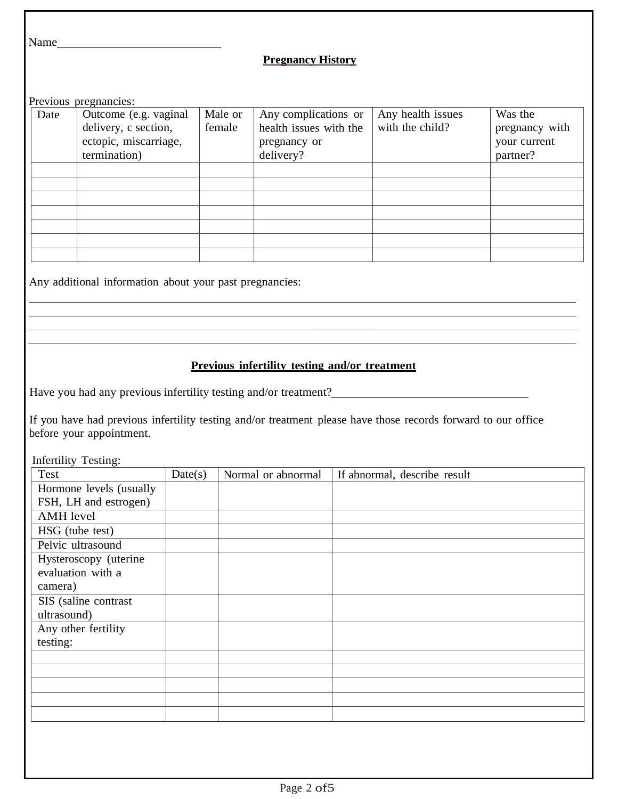Name

### **Pregnancy History**

Previous pregnancies:

| Date | Outcome (e.g. vaginal | Male or | Any complications or   | Any health issues | Was the        |
|------|-----------------------|---------|------------------------|-------------------|----------------|
|      | delivery, c section,  | female  | health issues with the | with the child?   | pregnancy with |
|      | ectopic, miscarriage, |         | pregnancy or           |                   | your current   |
|      | termination)          |         | delivery?              |                   | partner?       |
|      |                       |         |                        |                   |                |
|      |                       |         |                        |                   |                |
|      |                       |         |                        |                   |                |
|      |                       |         |                        |                   |                |
|      |                       |         |                        |                   |                |
|      |                       |         |                        |                   |                |
|      |                       |         |                        |                   |                |

Any additional information about your past pregnancies:

# **Previous infertility testing and/or treatment**

<u> 1980 - Johann Barbara, martxa alemaniar amerikan basar da basar da basar da basar da basar da basar da basar</u>

Have you had any previous infertility testing and/or treatment?

If you have had previous infertility testing and/or treatment please have those records forward to our office before your appointment.

Infertility Testing:

| Date(s) | Normal or abnormal | If abnormal, describe result |
|---------|--------------------|------------------------------|
|         |                    |                              |
|         |                    |                              |
|         |                    |                              |
|         |                    |                              |
|         |                    |                              |
|         |                    |                              |
|         |                    |                              |
|         |                    |                              |
|         |                    |                              |
|         |                    |                              |
|         |                    |                              |
|         |                    |                              |
|         |                    |                              |
|         |                    |                              |
|         |                    |                              |
|         |                    |                              |
|         |                    |                              |
|         |                    |                              |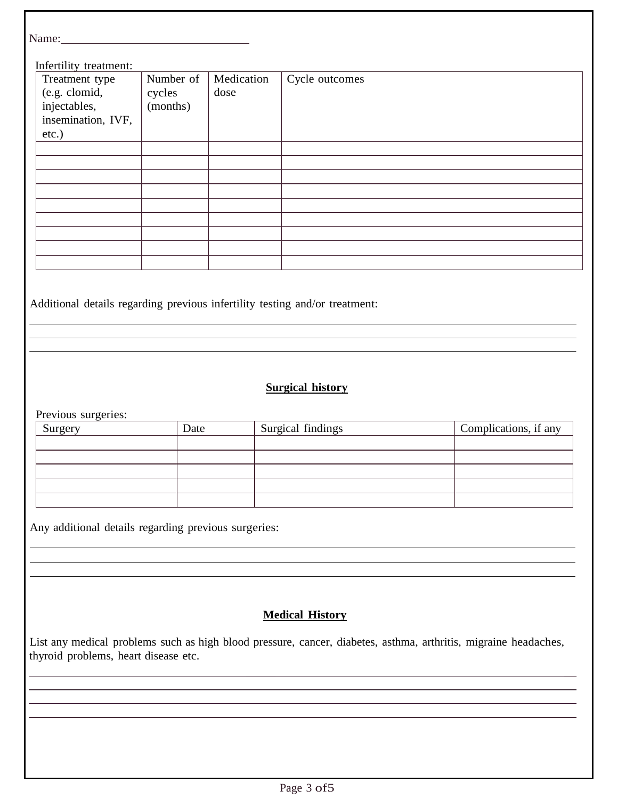| Name:                                                                          |                                 |                    |                |
|--------------------------------------------------------------------------------|---------------------------------|--------------------|----------------|
| Infertility treatment:                                                         |                                 |                    |                |
| Treatment type<br>(e.g. clomid,<br>injectables,<br>insemination, IVF,<br>etc.) | Number of<br>cycles<br>(months) | Medication<br>dose | Cycle outcomes |
|                                                                                |                                 |                    |                |
|                                                                                |                                 |                    |                |
|                                                                                |                                 |                    |                |
|                                                                                |                                 |                    |                |
|                                                                                |                                 |                    |                |
|                                                                                |                                 |                    |                |
|                                                                                |                                 |                    |                |
|                                                                                |                                 |                    |                |
|                                                                                |                                 |                    |                |

Additional details regarding previous infertility testing and/or treatment:

# **Surgical history**

Previous surgeries:

 $\overline{a}$ 

 $\overline{a}$ 

| Surgery | Date | Surgical findings | Complications, if any |
|---------|------|-------------------|-----------------------|
|         |      |                   |                       |
|         |      |                   |                       |
|         |      |                   |                       |
|         |      |                   |                       |
|         |      |                   |                       |

Any additional details regarding previous surgeries:

## **Medical History**

List any medical problems such as high blood pressure, cancer, diabetes, asthma, arthritis, migraine headaches, thyroid problems, heart disease etc.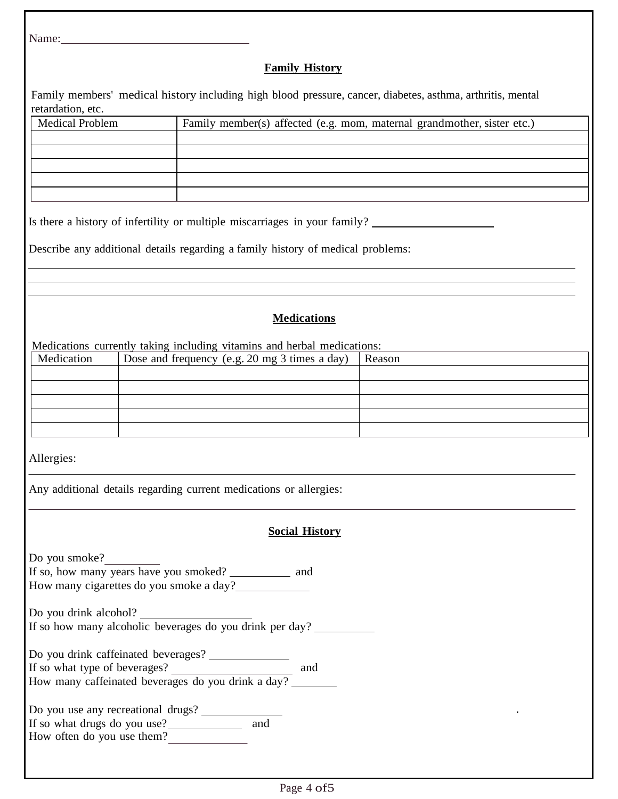Name:

#### **Family History**

Family members' medical history including high blood pressure, cancer, diabetes, asthma, arthritis, mental retardation, etc.

Is there a history of infertility or multiple miscarriages in your family?

Describe any additional details regarding a family history of medical problems:

## **Medications**

Medications currently taking including vitamins and herbal medications:

| Medication | Dose and frequency (e.g. 20 mg 3 times a day) | Reason |
|------------|-----------------------------------------------|--------|
|            |                                               |        |
|            |                                               |        |
|            |                                               |        |
|            |                                               |        |
|            |                                               |        |

Allergies:

Any additional details regarding current medications or allergies:

#### **Social History**

| Do you smoke?<br>If so, how many years have you smoked? _____________ and                                                         |
|-----------------------------------------------------------------------------------------------------------------------------------|
| How many cigarettes do you smoke a day?                                                                                           |
| Do you drink alcohol?<br>If so how many alcoholic beverages do you drink per day?                                                 |
| Do you drink caffeinated beverages?<br>If so what type of beverages?<br>and<br>How many caffeinated beverages do you drink a day? |
| Do you use any recreational drugs?<br>If so what drugs do you use?<br>and<br>How often do you use them?                           |